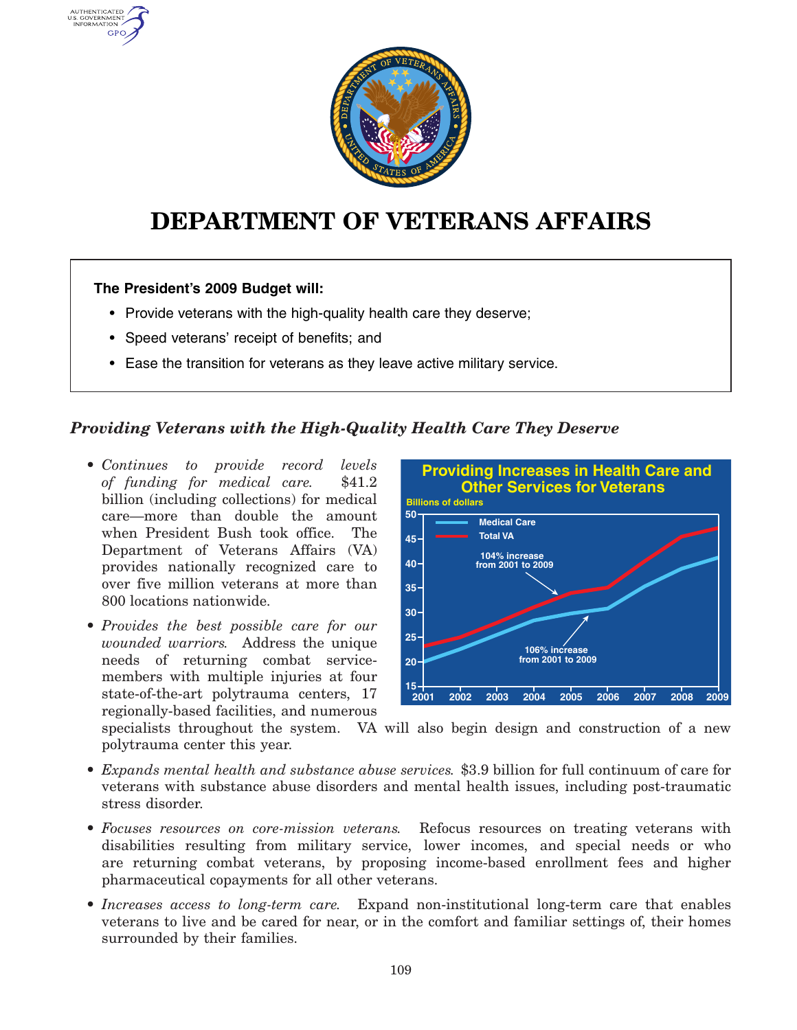

# **DEPARTMENT OF VETERANS AFFAIRS**

#### **The President's 2009 Budget will:**

AUTHENTICATED U.S. GOVERNMENT GPO

- Provide veterans with the high-quality health care they deserve;
- Speed veterans' receipt of benefits; and
- Ease the transition for veterans as they leave active military service.

#### *Providing Veterans with the High-Quality Health Care They Deserve*

- *Continues to provide record levels of funding for medical care.* \$41.2 billion (including collections) for medical care—more than double the amount when President Bush took office. The Department of Veterans Affairs (VA) provides nationally recognized care to over five million veterans at more than 800 locations nationwide.
- *Provides the best possible care for our wounded warriors.* Address the unique needs of returning combat servicemembers with multiple injuries at four state-of-the-art polytrauma centers, 17 regionally-based facilities, and numerous



specialists throughout the system. VA will also begin design and construction of <sup>a</sup> new polytrauma center this year.

- *Expands mental health and substance abuse services.* \$3.9 billion for full continuum of care for veterans with substance abuse disorders and mental health issues, including post-traumatic stress disorder.
	- Focuses resources on core-mission veterans. *Focuses resources on core-mission veterans.* Refocus resources on treating veterans with disabilities resulting from military service, lower incomes, and special needs or who are returning combat veterans, by proposing income-based enrollment fees and higher pharmaceutical copayments for all other veterans.
- *Increases access to long-term care.* Expand non-institutional long-term care that enables veterans to live and be cared for near, or in the comfort and familiar settings of, their homes surrounded by their families.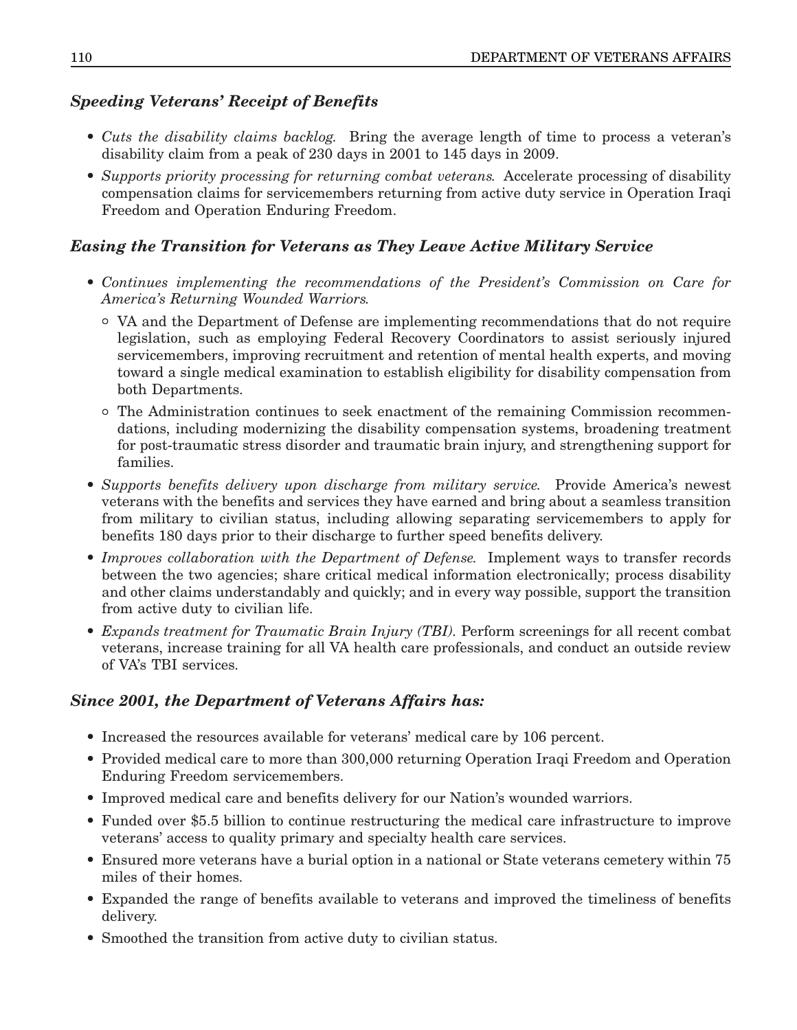## *Speeding Veterans' Receipt of Benefits*

- *Cuts the disability claims backlog.* Bring the average length of time to process <sup>a</sup> veteran's disability claim from <sup>a</sup> peak of 230 days in 2001 to 145 days in 2009.
- *Supports priority processing for returning combat veterans.* Accelerate processing of disability compensation claims for servicemembers returning from active duty service in Operation Iraqi Freedom and Operation Enduring Freedom.

## *Easing the Transition for Veterans as They Leave Active Military Service*

- *Continues implementing the recommendations of the President's Commission on Care for America's Returning Wounded Warriors.*
	- ° VA and the Department of Defense are implementing recommendations that do not require legislation, such as employing Federal Recovery Coordinators to assist seriously injured servicemembers, improving recruitment and retention of mental health experts, and moving toward <sup>a</sup> single medical examination to establish eligibility for disability compensation from both Departments.
	- ° The Administration continues to seek enactment of the remaining Commission recommendations, including modernizing the disability compensation systems, broadening treatment for post-traumatic stress disorder and traumatic brain injury, and strengthening support for families.
- *Supports benefits delivery upon discharge from military service.* Provide America's newest veterans with the benefits and services they have earned and bring about <sup>a</sup> seamless transition from military to civilian status, including allowing separating servicemembers to apply for benefits 180 days prior to their discharge to further speed benefits delivery.
- *Improves collaboration with the Department of Defense.* Implement ways to transfer records between the two agencies; share critical medical information electronically; process disability and other claims understandably and quickly; and in every way possible, support the transition from active duty to civilian life.
- *Expands treatment for Traumatic Brain Injury (TBI).* Perform screenings for all recent combat veterans, increase training for all VA health care professionals, and conduct an outside review of VA's TBI services.

# *Since 2001, the Department of Veterans Affairs has:*

- Increased the resources available for veterans' medical care by 106 percent.
- Provided medical care to more than 300,000 returning Operation Iraqi Freedom and Operation Enduring Freedom servicemembers.
- Improved medical care and benefits delivery for our Nation's wounded warriors.
- Funded over \$5.5 billion to continue restructuring the medical care infrastructure to improve veterans' access to quality primary and specialty health care services.
- Ensured more veterans have <sup>a</sup> burial option in <sup>a</sup> national or State veterans cemetery within 75 miles of their homes.
- Expanded the range of benefits available to veterans and improved the timeliness of benefits delivery.
- Smoothed the transition from active duty to civilian status.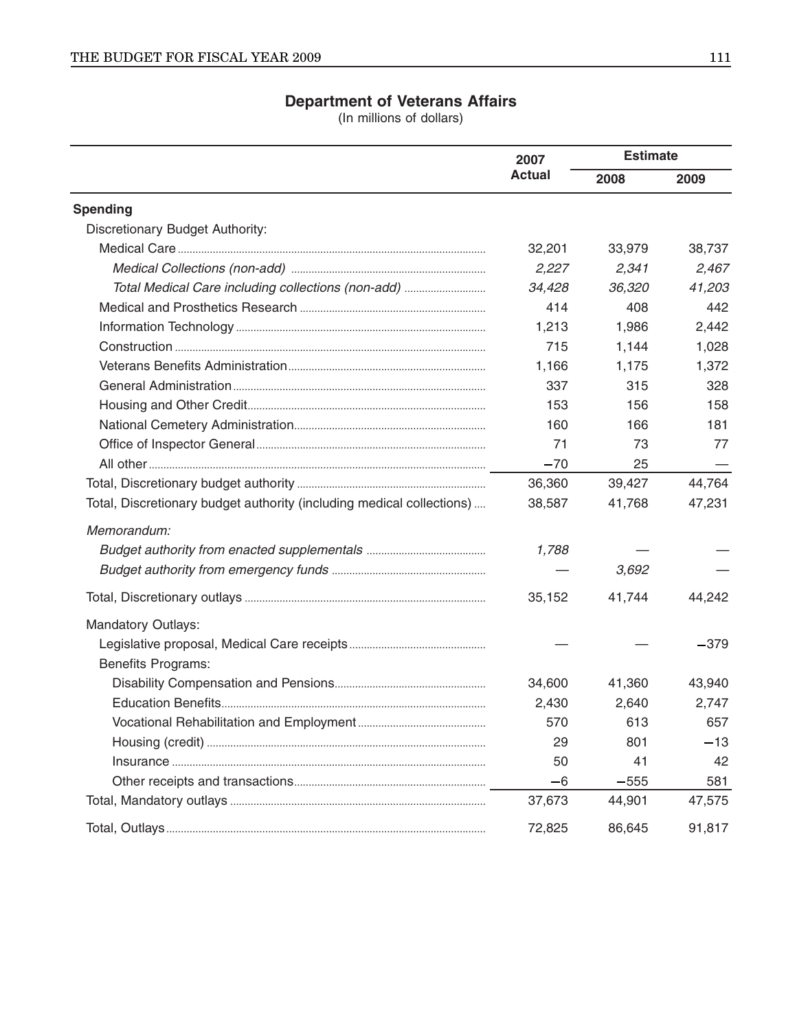### **Department of Veterans Affairs**

(In millions of dollars)

|                                                                       | 2007<br><b>Actual</b> | <b>Estimate</b> |        |
|-----------------------------------------------------------------------|-----------------------|-----------------|--------|
|                                                                       |                       | 2008            | 2009   |
| <b>Spending</b>                                                       |                       |                 |        |
| Discretionary Budget Authority:                                       |                       |                 |        |
|                                                                       | 32,201                | 33,979          | 38,737 |
|                                                                       | 2,227                 | 2,341           | 2,467  |
| Total Medical Care including collections (non-add)                    | 34,428                | 36,320          | 41,203 |
|                                                                       | 414                   | 408             | 442    |
|                                                                       | 1,213                 | 1,986           | 2,442  |
|                                                                       | 715                   | 1,144           | 1,028  |
|                                                                       | 1,166                 | 1,175           | 1,372  |
|                                                                       | 337                   | 315             | 328    |
|                                                                       | 153                   | 156             | 158    |
|                                                                       | 160                   | 166             | 181    |
|                                                                       | 71                    | 73              | 77     |
|                                                                       | $-70$                 | 25              |        |
|                                                                       | 36,360                | 39,427          | 44,764 |
| Total, Discretionary budget authority (including medical collections) | 38,587                | 41,768          | 47,231 |
| Memorandum:                                                           |                       |                 |        |
|                                                                       | 1,788                 |                 |        |
|                                                                       |                       | 3,692           |        |
|                                                                       | 35,152                | 41,744          | 44,242 |
| <b>Mandatory Outlays:</b>                                             |                       |                 |        |
|                                                                       |                       |                 | $-379$ |
| <b>Benefits Programs:</b>                                             |                       |                 |        |
|                                                                       | 34,600                | 41,360          | 43,940 |
|                                                                       | 2,430                 | 2,640           | 2,747  |
| Vocational Rehabilitation and Employment                              | 570                   | 613             | 657    |
|                                                                       | 29                    | 801             | $-13$  |
|                                                                       | 50                    | 41              | 42     |
|                                                                       | -6                    | $-555$          | 581    |
|                                                                       | 37,673                | 44,901          | 47,575 |
|                                                                       | 72,825                | 86,645          | 91,817 |